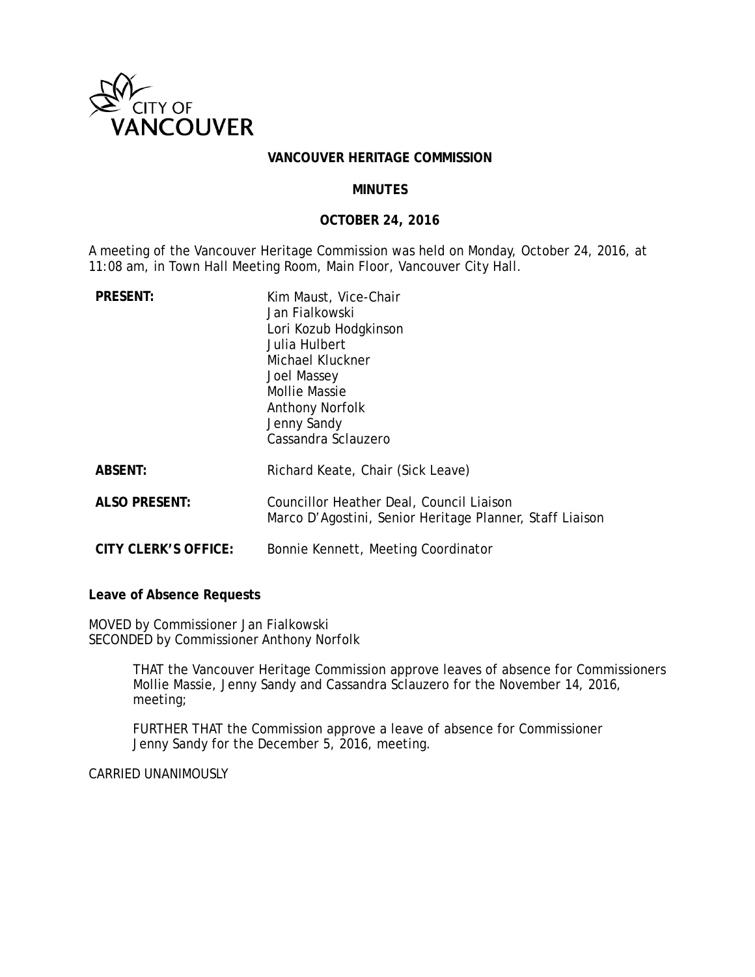

### **VANCOUVER HERITAGE COMMISSION**

### **MINUTES**

### **OCTOBER 24, 2016**

A meeting of the Vancouver Heritage Commission was held on Monday, October 24, 2016, at 11:08 am, in Town Hall Meeting Room, Main Floor, Vancouver City Hall.

| <b>PRESENT:</b>      | Kim Maust, Vice-Chair<br>Jan Fialkowski<br>Lori Kozub Hodgkinson<br>Julia Hulbert<br>Michael Kluckner<br>Joel Massey<br>Mollie Massie<br><b>Anthony Norfolk</b><br>Jenny Sandy<br>Cassandra Sclauzero |
|----------------------|-------------------------------------------------------------------------------------------------------------------------------------------------------------------------------------------------------|
| <b>ABSENT:</b>       | Richard Keate, Chair (Sick Leave)                                                                                                                                                                     |
| <b>ALSO PRESENT:</b> | Councillor Heather Deal, Council Liaison<br>Marco D'Agostini, Senior Heritage Planner, Staff Liaison                                                                                                  |
| CITY CLERK'S OFFICE: | Bonnie Kennett, Meeting Coordinator                                                                                                                                                                   |

**Leave of Absence Requests**

MOVED by Commissioner Jan Fialkowski SECONDED by Commissioner Anthony Norfolk

> THAT the Vancouver Heritage Commission approve leaves of absence for Commissioners Mollie Massie, Jenny Sandy and Cassandra Sclauzero for the November 14, 2016, meeting;

FURTHER THAT the Commission approve a leave of absence for Commissioner Jenny Sandy for the December 5, 2016, meeting.

CARRIED UNANIMOUSLY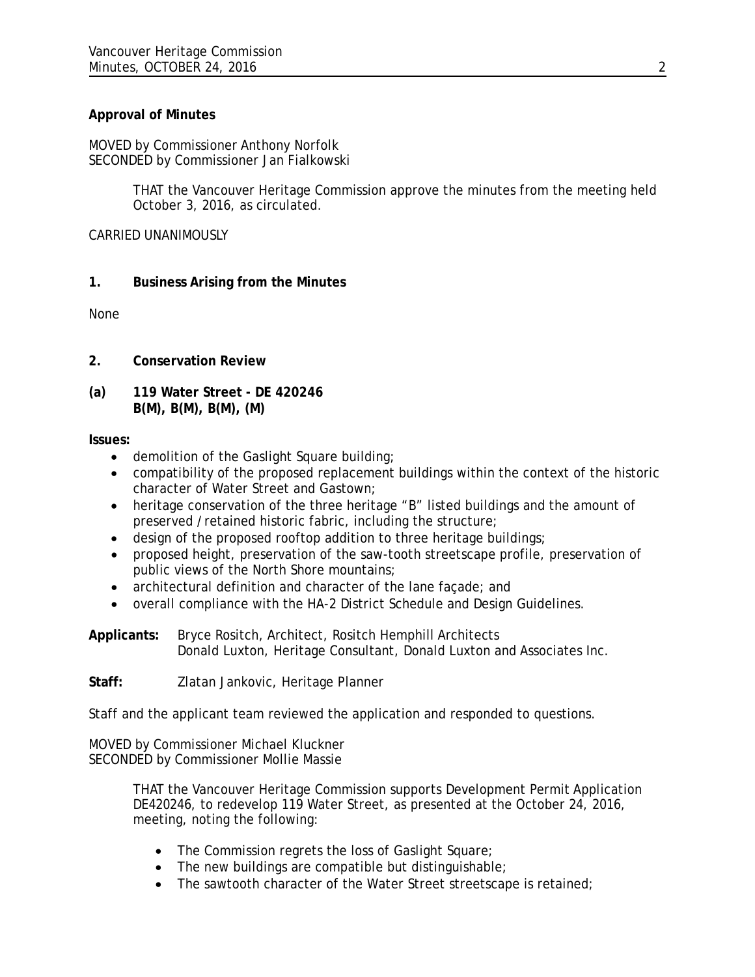# **Approval of Minutes**

MOVED by Commissioner Anthony Norfolk SECONDED by Commissioner Jan Fialkowski

> THAT the Vancouver Heritage Commission approve the minutes from the meeting held October 3, 2016, as circulated.

CARRIED UNANIMOUSLY

# **1. Business Arising from the Minutes**

None

- **2. Conservation Review**
- **(a) 119 Water Street DE 420246 B(M), B(M), B(M), (M)**

# **Issues:**

- demolition of the Gaslight Square building;
- compatibility of the proposed replacement buildings within the context of the historic character of Water Street and Gastown;
- heritage conservation of the three heritage "B" listed buildings and the amount of preserved /retained historic fabric, including the structure;
- design of the proposed rooftop addition to three heritage buildings;
- proposed height, preservation of the saw-tooth streetscape profile, preservation of public views of the North Shore mountains;
- architectural definition and character of the lane façade; and
- overall compliance with the HA-2 District Schedule and Design Guidelines.

**Applicants:** Bryce Rositch, Architect, Rositch Hemphill Architects Donald Luxton, Heritage Consultant, Donald Luxton and Associates Inc.

**Staff:** Zlatan Jankovic, Heritage Planner

Staff and the applicant team reviewed the application and responded to questions.

MOVED by Commissioner Michael Kluckner SECONDED by Commissioner Mollie Massie

> THAT the Vancouver Heritage Commission supports Development Permit Application DE420246, to redevelop 119 Water Street, as presented at the October 24, 2016, meeting, noting the following:

- The Commission regrets the loss of Gaslight Square;
- The new buildings are compatible but distinguishable;
- The sawtooth character of the Water Street streetscape is retained;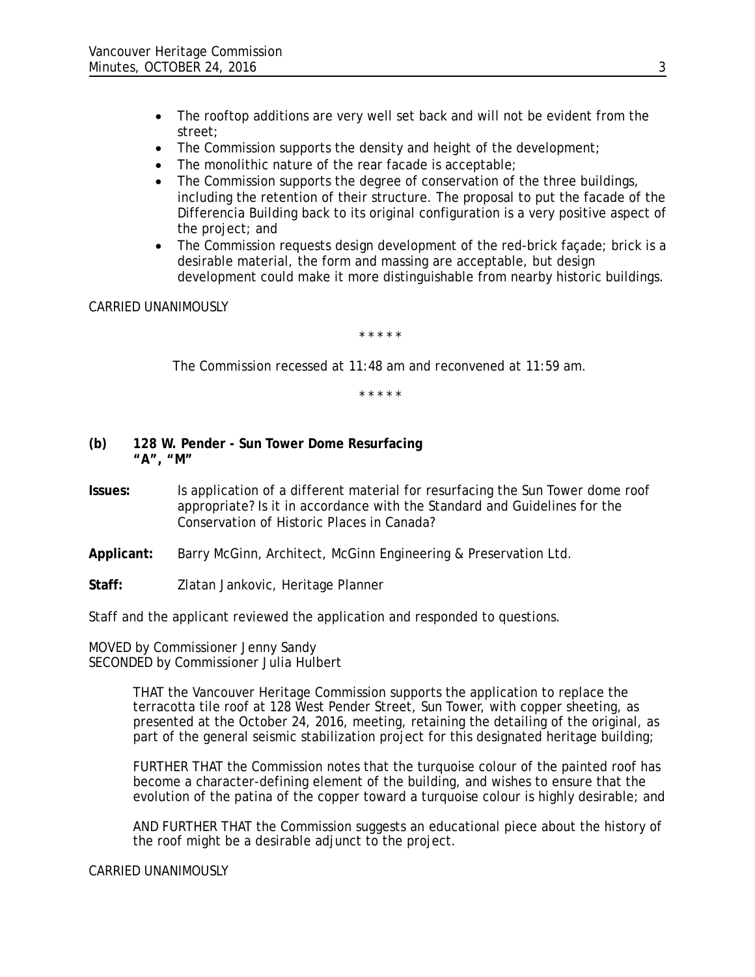- The rooftop additions are very well set back and will not be evident from the street;
- The Commission supports the density and height of the development;
- The monolithic nature of the rear facade is acceptable;
- The Commission supports the degree of conservation of the three buildings, including the retention of their structure. The proposal to put the facade of the Differencia Building back to its original configuration is a very positive aspect of the project; and
- The Commission requests design development of the red-brick facade; brick is a desirable material, the form and massing are acceptable, but design development could make it more distinguishable from nearby historic buildings.

CARRIED UNANIMOUSLY

*\* \* \* \* \** 

*The Commission recessed at 11:48 am and reconvened at 11:59 am.*

*\* \* \* \* \** 

- **(b) 128 W. Pender Sun Tower Dome Resurfacing "A", "M"**
- **Issues:** Is application of a different material for resurfacing the Sun Tower dome roof appropriate? Is it in accordance with the Standard and Guidelines for the Conservation of Historic Places in Canada?
- **Applicant:** Barry McGinn, Architect, McGinn Engineering & Preservation Ltd.
- **Staff:** Zlatan Jankovic, Heritage Planner

Staff and the applicant reviewed the application and responded to questions.

MOVED by Commissioner Jenny Sandy SECONDED by Commissioner Julia Hulbert

> THAT the Vancouver Heritage Commission supports the application to replace the terracotta tile roof at 128 West Pender Street, Sun Tower, with copper sheeting, as presented at the October 24, 2016, meeting, retaining the detailing of the original, as part of the general seismic stabilization project for this designated heritage building;

FURTHER THAT the Commission notes that the turquoise colour of the painted roof has become a character-defining element of the building, and wishes to ensure that the evolution of the patina of the copper toward a turquoise colour is highly desirable; and

AND FURTHER THAT the Commission suggests an educational piece about the history of the roof might be a desirable adjunct to the project.

CARRIED UNANIMOUSLY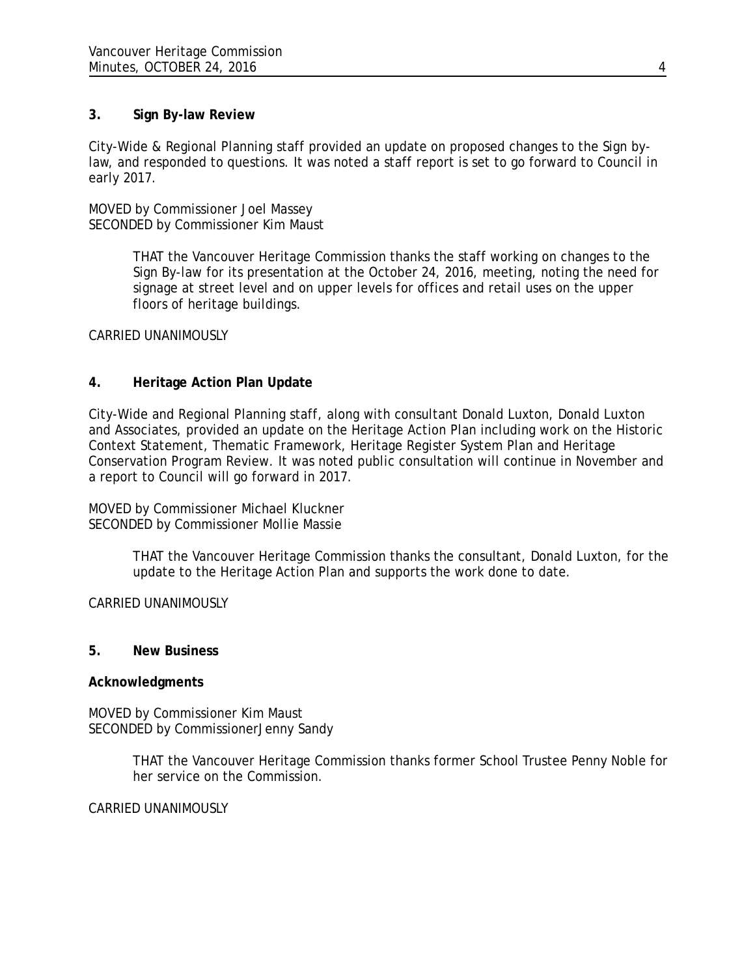### **3. Sign By-law Review**

City-Wide & Regional Planning staff provided an update on proposed changes to the Sign bylaw, and responded to questions. It was noted a staff report is set to go forward to Council in early 2017.

MOVED by Commissioner Joel Massey SECONDED by Commissioner Kim Maust

> THAT the Vancouver Heritage Commission thanks the staff working on changes to the Sign By-law for its presentation at the October 24, 2016, meeting, noting the need for signage at street level and on upper levels for offices and retail uses on the upper floors of heritage buildings.

CARRIED UNANIMOUSLY

# **4. Heritage Action Plan Update**

City-Wide and Regional Planning staff, along with consultant Donald Luxton, Donald Luxton and Associates, provided an update on the Heritage Action Plan including work on the Historic Context Statement, Thematic Framework, Heritage Register System Plan and Heritage Conservation Program Review. It was noted public consultation will continue in November and a report to Council will go forward in 2017.

MOVED by Commissioner Michael Kluckner SECONDED by Commissioner Mollie Massie

> THAT the Vancouver Heritage Commission thanks the consultant, Donald Luxton, for the update to the Heritage Action Plan and supports the work done to date.

### CARRIED UNANIMOUSLY

### **5. New Business**

### **Acknowledgments**

MOVED by Commissioner Kim Maust SECONDED by CommissionerJenny Sandy

> THAT the Vancouver Heritage Commission thanks former School Trustee Penny Noble for her service on the Commission.

CARRIED UNANIMOUSLY